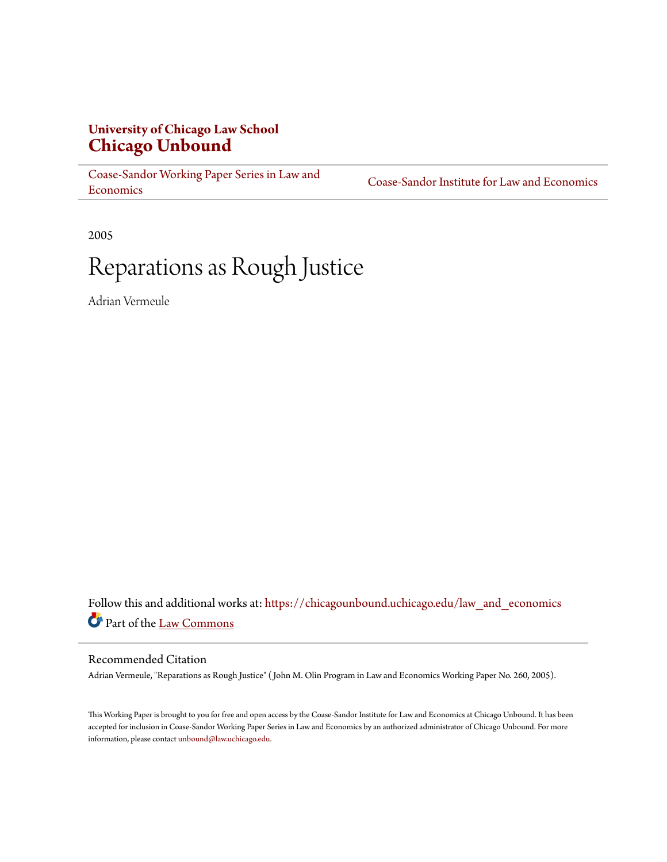#### **University of Chicago Law School [Chicago Unbound](https://chicagounbound.uchicago.edu?utm_source=chicagounbound.uchicago.edu%2Flaw_and_economics%2F421&utm_medium=PDF&utm_campaign=PDFCoverPages)**

[Coase-Sandor Working Paper Series in Law and](https://chicagounbound.uchicago.edu/law_and_economics?utm_source=chicagounbound.uchicago.edu%2Flaw_and_economics%2F421&utm_medium=PDF&utm_campaign=PDFCoverPages) [Economics](https://chicagounbound.uchicago.edu/law_and_economics?utm_source=chicagounbound.uchicago.edu%2Flaw_and_economics%2F421&utm_medium=PDF&utm_campaign=PDFCoverPages)

[Coase-Sandor Institute for Law and Economics](https://chicagounbound.uchicago.edu/coase_sandor_institute?utm_source=chicagounbound.uchicago.edu%2Flaw_and_economics%2F421&utm_medium=PDF&utm_campaign=PDFCoverPages)

2005

## Reparations as Rough Justice

Adrian Vermeule

Follow this and additional works at: [https://chicagounbound.uchicago.edu/law\\_and\\_economics](https://chicagounbound.uchicago.edu/law_and_economics?utm_source=chicagounbound.uchicago.edu%2Flaw_and_economics%2F421&utm_medium=PDF&utm_campaign=PDFCoverPages) Part of the [Law Commons](http://network.bepress.com/hgg/discipline/578?utm_source=chicagounbound.uchicago.edu%2Flaw_and_economics%2F421&utm_medium=PDF&utm_campaign=PDFCoverPages)

#### Recommended Citation

Adrian Vermeule, "Reparations as Rough Justice" ( John M. Olin Program in Law and Economics Working Paper No. 260, 2005).

This Working Paper is brought to you for free and open access by the Coase-Sandor Institute for Law and Economics at Chicago Unbound. It has been accepted for inclusion in Coase-Sandor Working Paper Series in Law and Economics by an authorized administrator of Chicago Unbound. For more information, please contact [unbound@law.uchicago.edu.](mailto:unbound@law.uchicago.edu)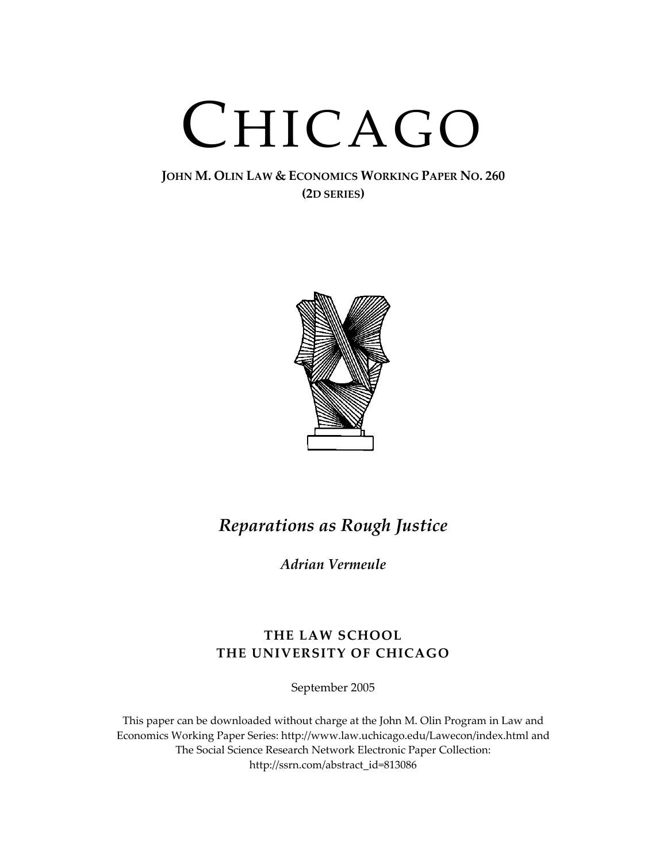# CHICAGO

#### **JOHN M. OLIN LAW & ECONOMICS WORKING PAPER NO. 260 (2D SERIES)**



### *Reparations as Rough Justice*

*Adrian Vermeule*

#### **THE LAW SCHOOL THE UNIVERSITY OF CHICAGO**

September 2005

This paper can be downloaded without charge at the John M. Olin Program in Law and Economics Working Paper Series: http://www.law.uchicago.edu/Lawecon/index.html and The Social Science Research Network Electronic Paper Collection: http://ssrn.com/abstract\_id=813086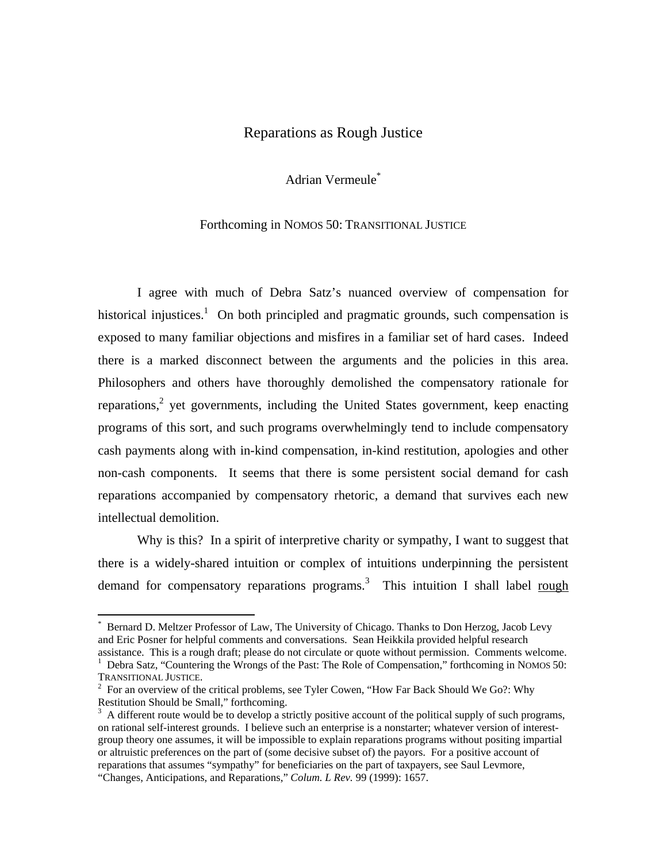Adrian Vermeule\*

#### Forthcoming in NOMOS 50: TRANSITIONAL JUSTICE

 I agree with much of Debra Satz's nuanced overview of compensation for historical injustices.<sup>1</sup> On both principled and pragmatic grounds, such compensation is exposed to many familiar objections and misfires in a familiar set of hard cases. Indeed there is a marked disconnect between the arguments and the policies in this area. Philosophers and others have thoroughly demolished the compensatory rationale for reparations,<sup>2</sup> yet governments, including the United States government, keep enacting programs of this sort, and such programs overwhelmingly tend to include compensatory cash payments along with in-kind compensation, in-kind restitution, apologies and other non-cash components. It seems that there is some persistent social demand for cash reparations accompanied by compensatory rhetoric, a demand that survives each new intellectual demolition.

Why is this? In a spirit of interpretive charity or sympathy, I want to suggest that there is a widely-shared intuition or complex of intuitions underpinning the persistent demand for compensatory reparations programs.<sup>3</sup> This intuition I shall label rough

<sup>\*</sup> Bernard D. Meltzer Professor of Law, The University of Chicago. Thanks to Don Herzog, Jacob Levy and Eric Posner for helpful comments and conversations. Sean Heikkila provided helpful research

assistance. This is a rough draft; please do not circulate or quote without permission. Comments welcome. 1 Debra Satz, "Countering the Wrongs of the Past: The Role of Compensation," forthcoming in NOMOS 50: TRANSITIONAL JUSTICE. 2

 $2$  For an overview of the critical problems, see Tyler Cowen, "How Far Back Should We Go?: Why Restitution Should be Small," forthcoming.

 $3\,$  A different route would be to develop a strictly positive account of the political supply of such programs, on rational self-interest grounds. I believe such an enterprise is a nonstarter; whatever version of interestgroup theory one assumes, it will be impossible to explain reparations programs without positing impartial or altruistic preferences on the part of (some decisive subset of) the payors. For a positive account of reparations that assumes "sympathy" for beneficiaries on the part of taxpayers, see Saul Levmore, "Changes, Anticipations, and Reparations," *Colum. L Rev.* 99 (1999): 1657.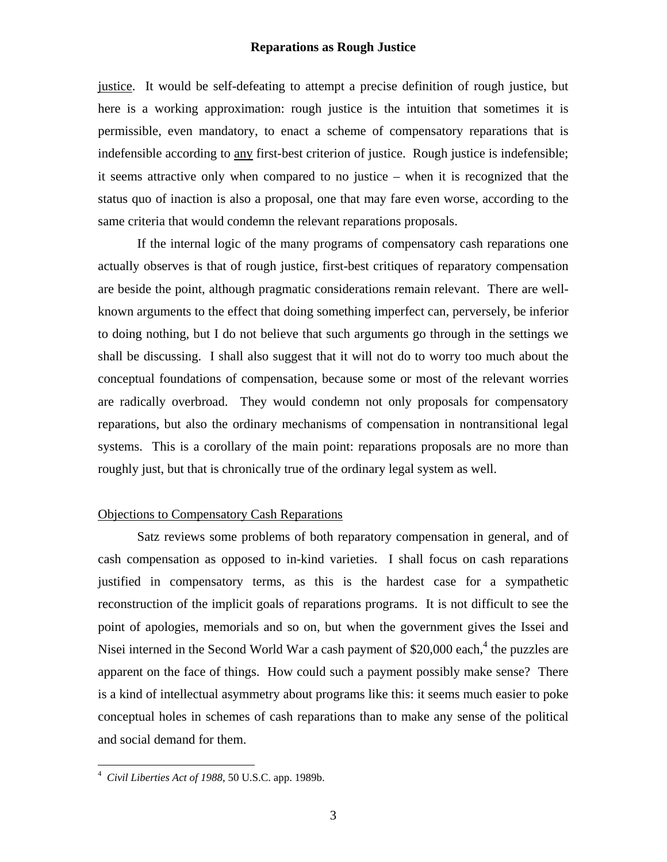justice. It would be self-defeating to attempt a precise definition of rough justice, but here is a working approximation: rough justice is the intuition that sometimes it is permissible, even mandatory, to enact a scheme of compensatory reparations that is indefensible according to any first-best criterion of justice. Rough justice is indefensible; it seems attractive only when compared to no justice – when it is recognized that the status quo of inaction is also a proposal, one that may fare even worse, according to the same criteria that would condemn the relevant reparations proposals.

 If the internal logic of the many programs of compensatory cash reparations one actually observes is that of rough justice, first-best critiques of reparatory compensation are beside the point, although pragmatic considerations remain relevant. There are wellknown arguments to the effect that doing something imperfect can, perversely, be inferior to doing nothing, but I do not believe that such arguments go through in the settings we shall be discussing. I shall also suggest that it will not do to worry too much about the conceptual foundations of compensation, because some or most of the relevant worries are radically overbroad. They would condemn not only proposals for compensatory reparations, but also the ordinary mechanisms of compensation in nontransitional legal systems. This is a corollary of the main point: reparations proposals are no more than roughly just, but that is chronically true of the ordinary legal system as well.

#### Objections to Compensatory Cash Reparations

 Satz reviews some problems of both reparatory compensation in general, and of cash compensation as opposed to in-kind varieties. I shall focus on cash reparations justified in compensatory terms, as this is the hardest case for a sympathetic reconstruction of the implicit goals of reparations programs. It is not difficult to see the point of apologies, memorials and so on, but when the government gives the Issei and Nisei interned in the Second World War a cash payment of \$20,000 each,<sup>4</sup> the puzzles are apparent on the face of things. How could such a payment possibly make sense? There is a kind of intellectual asymmetry about programs like this: it seems much easier to poke conceptual holes in schemes of cash reparations than to make any sense of the political and social demand for them.

 4 *Civil Liberties Act of 1988*, 50 U.S.C. app. 1989b.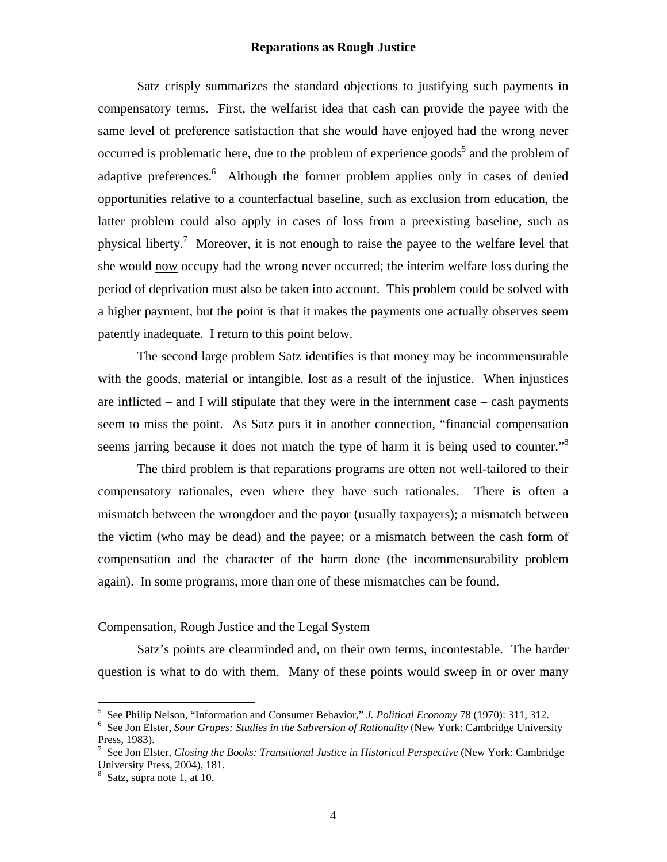Satz crisply summarizes the standard objections to justifying such payments in compensatory terms. First, the welfarist idea that cash can provide the payee with the same level of preference satisfaction that she would have enjoyed had the wrong never occurred is problematic here, due to the problem of experience goods<sup>5</sup> and the problem of adaptive preferences.<sup>6</sup> Although the former problem applies only in cases of denied opportunities relative to a counterfactual baseline, such as exclusion from education, the latter problem could also apply in cases of loss from a preexisting baseline, such as physical liberty.<sup>7</sup> Moreover, it is not enough to raise the payee to the welfare level that she would now occupy had the wrong never occurred; the interim welfare loss during the period of deprivation must also be taken into account. This problem could be solved with a higher payment, but the point is that it makes the payments one actually observes seem patently inadequate. I return to this point below.

 The second large problem Satz identifies is that money may be incommensurable with the goods, material or intangible, lost as a result of the injustice. When injustices are inflicted – and I will stipulate that they were in the internment case – cash payments seem to miss the point. As Satz puts it in another connection, "financial compensation seems jarring because it does not match the type of harm it is being used to counter."<sup>8</sup>

 The third problem is that reparations programs are often not well-tailored to their compensatory rationales, even where they have such rationales. There is often a mismatch between the wrongdoer and the payor (usually taxpayers); a mismatch between the victim (who may be dead) and the payee; or a mismatch between the cash form of compensation and the character of the harm done (the incommensurability problem again). In some programs, more than one of these mismatches can be found.

#### Compensation, Rough Justice and the Legal System

 Satz's points are clearminded and, on their own terms, incontestable. The harder question is what to do with them. Many of these points would sweep in or over many

<sup>&</sup>lt;sup>5</sup> See Philip Nelson, "Information and Consumer Behavior," *J. Political Economy* 78 (1970): 311, 312.

<sup>&</sup>lt;sup>6</sup> See Jon Elster, *Sour Grapes: Studies in the Subversion of Rationality* (New York: Cambridge University Press, 1983).

<sup>7</sup> See Jon Elster, *Closing the Books: Transitional Justice in Historical Perspective* (New York: Cambridge University Press, 2004), 181.

<sup>8</sup> Satz, supra note 1, at 10.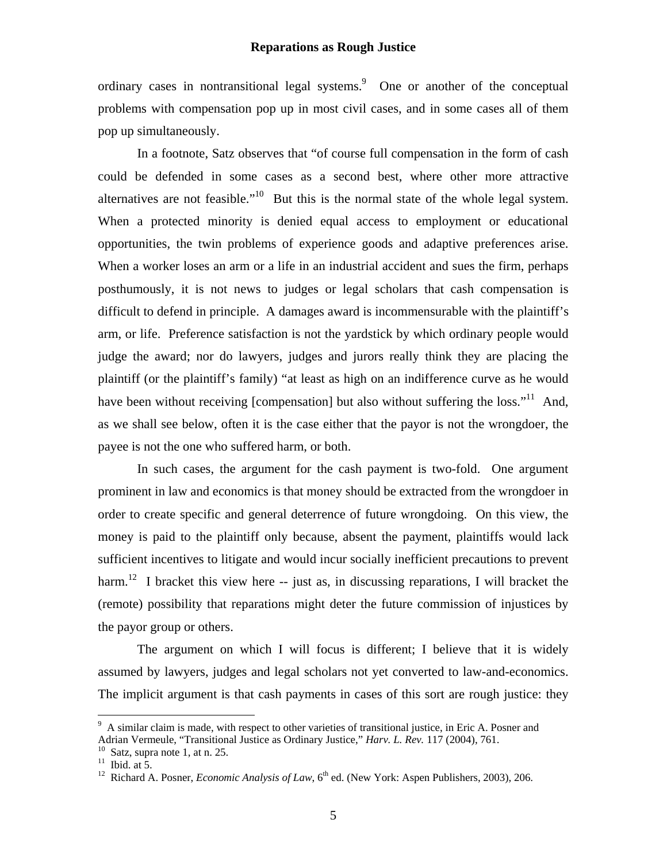ordinary cases in nontransitional legal systems.<sup>9</sup> One or another of the conceptual problems with compensation pop up in most civil cases, and in some cases all of them pop up simultaneously.

 In a footnote, Satz observes that "of course full compensation in the form of cash could be defended in some cases as a second best, where other more attractive alternatives are not feasible."<sup>10</sup> But this is the normal state of the whole legal system. When a protected minority is denied equal access to employment or educational opportunities, the twin problems of experience goods and adaptive preferences arise. When a worker loses an arm or a life in an industrial accident and sues the firm, perhaps posthumously, it is not news to judges or legal scholars that cash compensation is difficult to defend in principle. A damages award is incommensurable with the plaintiff's arm, or life. Preference satisfaction is not the yardstick by which ordinary people would judge the award; nor do lawyers, judges and jurors really think they are placing the plaintiff (or the plaintiff's family) "at least as high on an indifference curve as he would have been without receiving [compensation] but also without suffering the loss."<sup>11</sup> And, as we shall see below, often it is the case either that the payor is not the wrongdoer, the payee is not the one who suffered harm, or both.

 In such cases, the argument for the cash payment is two-fold. One argument prominent in law and economics is that money should be extracted from the wrongdoer in order to create specific and general deterrence of future wrongdoing. On this view, the money is paid to the plaintiff only because, absent the payment, plaintiffs would lack sufficient incentives to litigate and would incur socially inefficient precautions to prevent harm.<sup>12</sup> I bracket this view here  $-$  just as, in discussing reparations, I will bracket the (remote) possibility that reparations might deter the future commission of injustices by the payor group or others.

 The argument on which I will focus is different; I believe that it is widely assumed by lawyers, judges and legal scholars not yet converted to law-and-economics. The implicit argument is that cash payments in cases of this sort are rough justice: they

1

<sup>&</sup>lt;sup>9</sup> A similar claim is made, with respect to other varieties of transitional justice, in Eric A. Posner and Adrian Vermeule, "Transitional Justice as Ordinary Justice," *Harv. L. Rev.* 117 (2004), 761.<br><sup>10</sup> Satz, supra note 1, at n. 25.

 $11$  Ibid. at 5.

<sup>&</sup>lt;sup>12</sup> Richard A. Posner, *Economic Analysis of Law*,  $6<sup>th</sup>$  ed. (New York: Aspen Publishers, 2003), 206.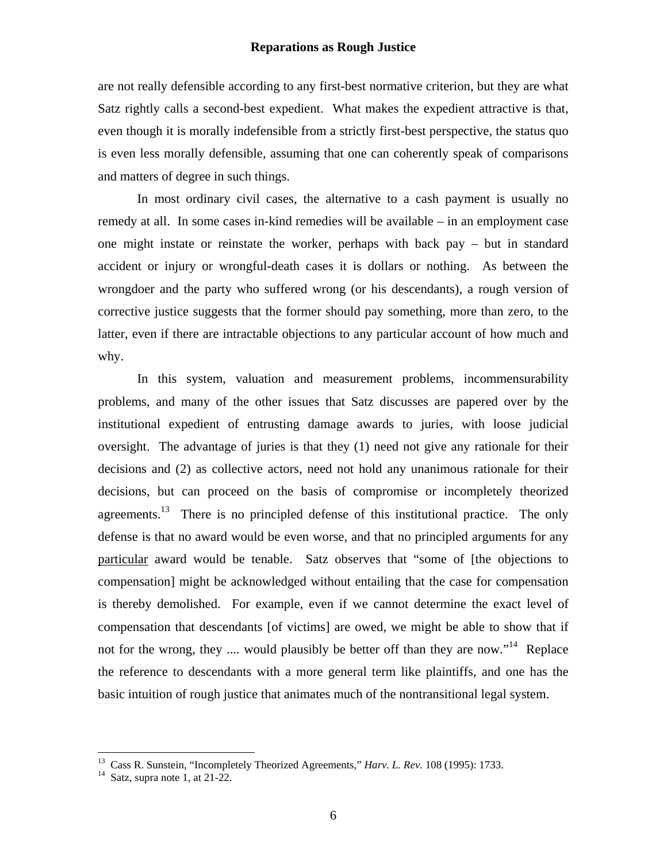are not really defensible according to any first-best normative criterion, but they are what Satz rightly calls a second-best expedient. What makes the expedient attractive is that, even though it is morally indefensible from a strictly first-best perspective, the status quo is even less morally defensible, assuming that one can coherently speak of comparisons and matters of degree in such things.

 In most ordinary civil cases, the alternative to a cash payment is usually no remedy at all. In some cases in-kind remedies will be available – in an employment case one might instate or reinstate the worker, perhaps with back pay – but in standard accident or injury or wrongful-death cases it is dollars or nothing. As between the wrongdoer and the party who suffered wrong (or his descendants), a rough version of corrective justice suggests that the former should pay something, more than zero, to the latter, even if there are intractable objections to any particular account of how much and why.

 In this system, valuation and measurement problems, incommensurability problems, and many of the other issues that Satz discusses are papered over by the institutional expedient of entrusting damage awards to juries, with loose judicial oversight. The advantage of juries is that they (1) need not give any rationale for their decisions and (2) as collective actors, need not hold any unanimous rationale for their decisions, but can proceed on the basis of compromise or incompletely theorized agreements.<sup>13</sup> There is no principled defense of this institutional practice. The only defense is that no award would be even worse, and that no principled arguments for any particular award would be tenable. Satz observes that "some of [the objections to compensation] might be acknowledged without entailing that the case for compensation is thereby demolished. For example, even if we cannot determine the exact level of compensation that descendants [of victims] are owed, we might be able to show that if not for the wrong, they .... would plausibly be better off than they are now."<sup>14</sup> Replace the reference to descendants with a more general term like plaintiffs, and one has the basic intuition of rough justice that animates much of the nontransitional legal system.

<sup>&</sup>lt;sup>13</sup> Cass R. Sunstein, "Incompletely Theorized Agreements," *Harv. L. Rev.* 108 (1995): 1733.<br><sup>14</sup> Satz, supra note 1, at 21-22.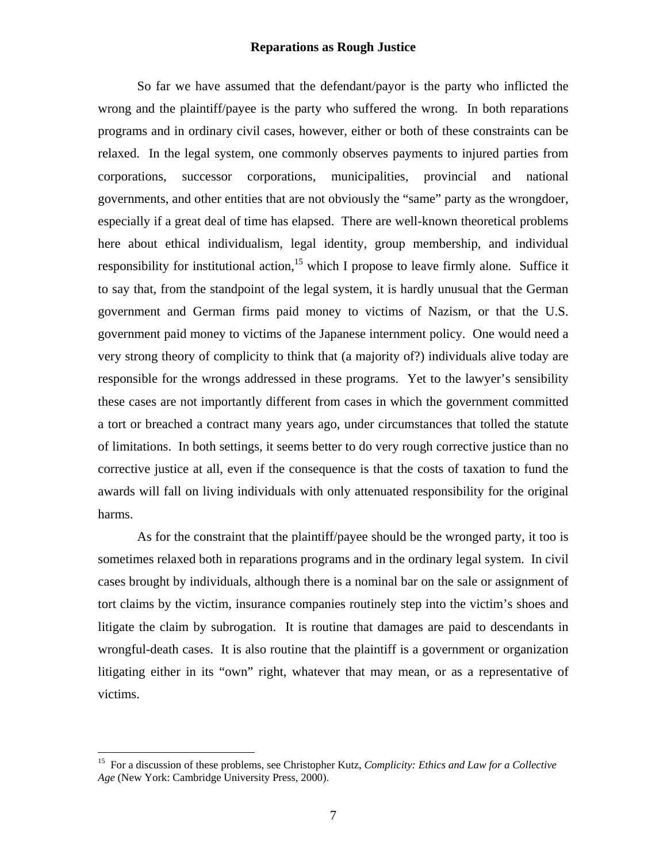So far we have assumed that the defendant/payor is the party who inflicted the wrong and the plaintiff/payee is the party who suffered the wrong. In both reparations programs and in ordinary civil cases, however, either or both of these constraints can be relaxed. In the legal system, one commonly observes payments to injured parties from corporations, successor corporations, municipalities, provincial and national governments, and other entities that are not obviously the "same" party as the wrongdoer, especially if a great deal of time has elapsed. There are well-known theoretical problems here about ethical individualism, legal identity, group membership, and individual responsibility for institutional action,<sup>15</sup> which I propose to leave firmly alone. Suffice it to say that, from the standpoint of the legal system, it is hardly unusual that the German government and German firms paid money to victims of Nazism, or that the U.S. government paid money to victims of the Japanese internment policy. One would need a very strong theory of complicity to think that (a majority of?) individuals alive today are responsible for the wrongs addressed in these programs. Yet to the lawyer's sensibility these cases are not importantly different from cases in which the government committed a tort or breached a contract many years ago, under circumstances that tolled the statute of limitations. In both settings, it seems better to do very rough corrective justice than no corrective justice at all, even if the consequence is that the costs of taxation to fund the awards will fall on living individuals with only attenuated responsibility for the original harms.

 As for the constraint that the plaintiff/payee should be the wronged party, it too is sometimes relaxed both in reparations programs and in the ordinary legal system. In civil cases brought by individuals, although there is a nominal bar on the sale or assignment of tort claims by the victim, insurance companies routinely step into the victim's shoes and litigate the claim by subrogation. It is routine that damages are paid to descendants in wrongful-death cases. It is also routine that the plaintiff is a government or organization litigating either in its "own" right, whatever that may mean, or as a representative of victims.

<sup>15</sup> For a discussion of these problems, see Christopher Kutz, *Complicity: Ethics and Law for a Collective Age* (New York: Cambridge University Press, 2000).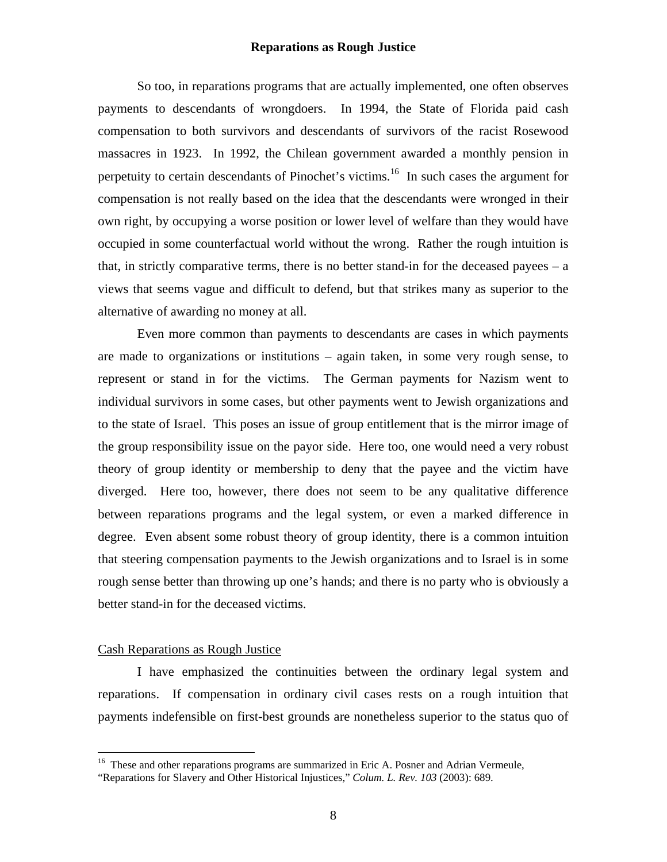So too, in reparations programs that are actually implemented, one often observes payments to descendants of wrongdoers. In 1994, the State of Florida paid cash compensation to both survivors and descendants of survivors of the racist Rosewood massacres in 1923. In 1992, the Chilean government awarded a monthly pension in perpetuity to certain descendants of Pinochet's victims.<sup>16</sup> In such cases the argument for compensation is not really based on the idea that the descendants were wronged in their own right, by occupying a worse position or lower level of welfare than they would have occupied in some counterfactual world without the wrong. Rather the rough intuition is that, in strictly comparative terms, there is no better stand-in for the deceased payees  $-$  a views that seems vague and difficult to defend, but that strikes many as superior to the alternative of awarding no money at all.

 Even more common than payments to descendants are cases in which payments are made to organizations or institutions – again taken, in some very rough sense, to represent or stand in for the victims. The German payments for Nazism went to individual survivors in some cases, but other payments went to Jewish organizations and to the state of Israel. This poses an issue of group entitlement that is the mirror image of the group responsibility issue on the payor side. Here too, one would need a very robust theory of group identity or membership to deny that the payee and the victim have diverged. Here too, however, there does not seem to be any qualitative difference between reparations programs and the legal system, or even a marked difference in degree. Even absent some robust theory of group identity, there is a common intuition that steering compensation payments to the Jewish organizations and to Israel is in some rough sense better than throwing up one's hands; and there is no party who is obviously a better stand-in for the deceased victims.

#### Cash Reparations as Rough Justice

 $\overline{a}$ 

 I have emphasized the continuities between the ordinary legal system and reparations. If compensation in ordinary civil cases rests on a rough intuition that payments indefensible on first-best grounds are nonetheless superior to the status quo of

<sup>&</sup>lt;sup>16</sup> These and other reparations programs are summarized in Eric A. Posner and Adrian Vermeule, "Reparations for Slavery and Other Historical Injustices," *Colum. L. Rev. 103* (2003): 689.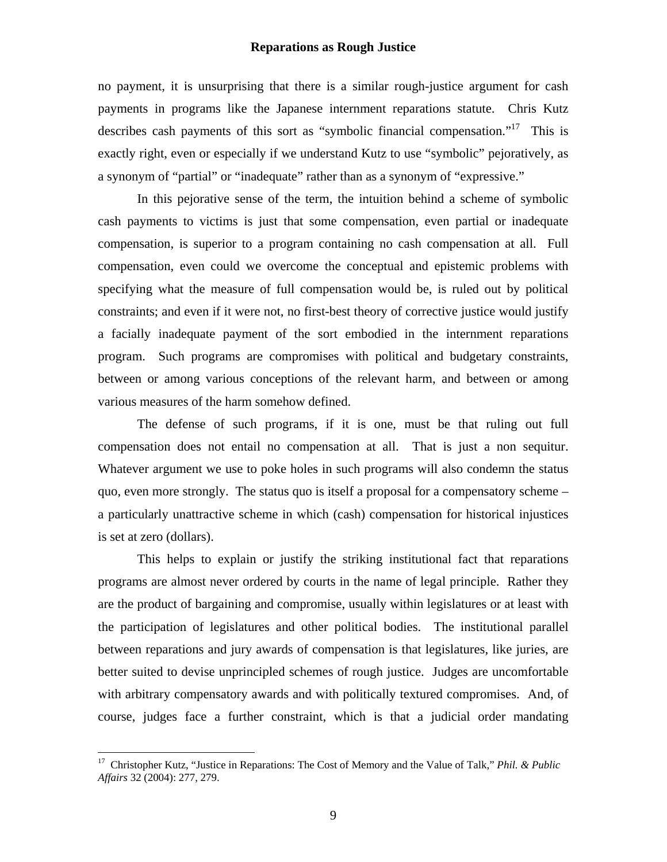no payment, it is unsurprising that there is a similar rough-justice argument for cash payments in programs like the Japanese internment reparations statute. Chris Kutz describes cash payments of this sort as "symbolic financial compensation."<sup>17</sup> This is exactly right, even or especially if we understand Kutz to use "symbolic" pejoratively, as a synonym of "partial" or "inadequate" rather than as a synonym of "expressive."

 In this pejorative sense of the term, the intuition behind a scheme of symbolic cash payments to victims is just that some compensation, even partial or inadequate compensation, is superior to a program containing no cash compensation at all. Full compensation, even could we overcome the conceptual and epistemic problems with specifying what the measure of full compensation would be, is ruled out by political constraints; and even if it were not, no first-best theory of corrective justice would justify a facially inadequate payment of the sort embodied in the internment reparations program. Such programs are compromises with political and budgetary constraints, between or among various conceptions of the relevant harm, and between or among various measures of the harm somehow defined.

 The defense of such programs, if it is one, must be that ruling out full compensation does not entail no compensation at all. That is just a non sequitur. Whatever argument we use to poke holes in such programs will also condemn the status quo, even more strongly. The status quo is itself a proposal for a compensatory scheme  $$ a particularly unattractive scheme in which (cash) compensation for historical injustices is set at zero (dollars).

 This helps to explain or justify the striking institutional fact that reparations programs are almost never ordered by courts in the name of legal principle. Rather they are the product of bargaining and compromise, usually within legislatures or at least with the participation of legislatures and other political bodies. The institutional parallel between reparations and jury awards of compensation is that legislatures, like juries, are better suited to devise unprincipled schemes of rough justice. Judges are uncomfortable with arbitrary compensatory awards and with politically textured compromises. And, of course, judges face a further constraint, which is that a judicial order mandating

1

<sup>17</sup> Christopher Kutz, "Justice in Reparations: The Cost of Memory and the Value of Talk," *Phil. & Public Affairs* 32 (2004): 277, 279.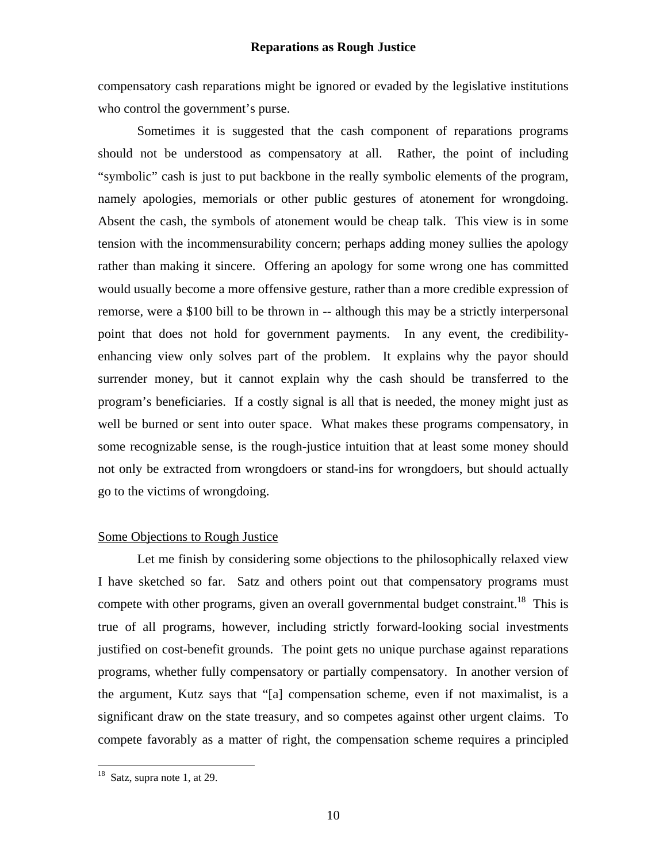compensatory cash reparations might be ignored or evaded by the legislative institutions who control the government's purse.

 Sometimes it is suggested that the cash component of reparations programs should not be understood as compensatory at all. Rather, the point of including "symbolic" cash is just to put backbone in the really symbolic elements of the program, namely apologies, memorials or other public gestures of atonement for wrongdoing. Absent the cash, the symbols of atonement would be cheap talk. This view is in some tension with the incommensurability concern; perhaps adding money sullies the apology rather than making it sincere. Offering an apology for some wrong one has committed would usually become a more offensive gesture, rather than a more credible expression of remorse, were a \$100 bill to be thrown in -- although this may be a strictly interpersonal point that does not hold for government payments. In any event, the credibilityenhancing view only solves part of the problem. It explains why the payor should surrender money, but it cannot explain why the cash should be transferred to the program's beneficiaries. If a costly signal is all that is needed, the money might just as well be burned or sent into outer space. What makes these programs compensatory, in some recognizable sense, is the rough-justice intuition that at least some money should not only be extracted from wrongdoers or stand-ins for wrongdoers, but should actually go to the victims of wrongdoing.

#### Some Objections to Rough Justice

 Let me finish by considering some objections to the philosophically relaxed view I have sketched so far. Satz and others point out that compensatory programs must compete with other programs, given an overall governmental budget constraint.<sup>18</sup> This is true of all programs, however, including strictly forward-looking social investments justified on cost-benefit grounds. The point gets no unique purchase against reparations programs, whether fully compensatory or partially compensatory. In another version of the argument, Kutz says that "[a] compensation scheme, even if not maximalist, is a significant draw on the state treasury, and so competes against other urgent claims. To compete favorably as a matter of right, the compensation scheme requires a principled

 $18$  Satz, supra note 1, at 29.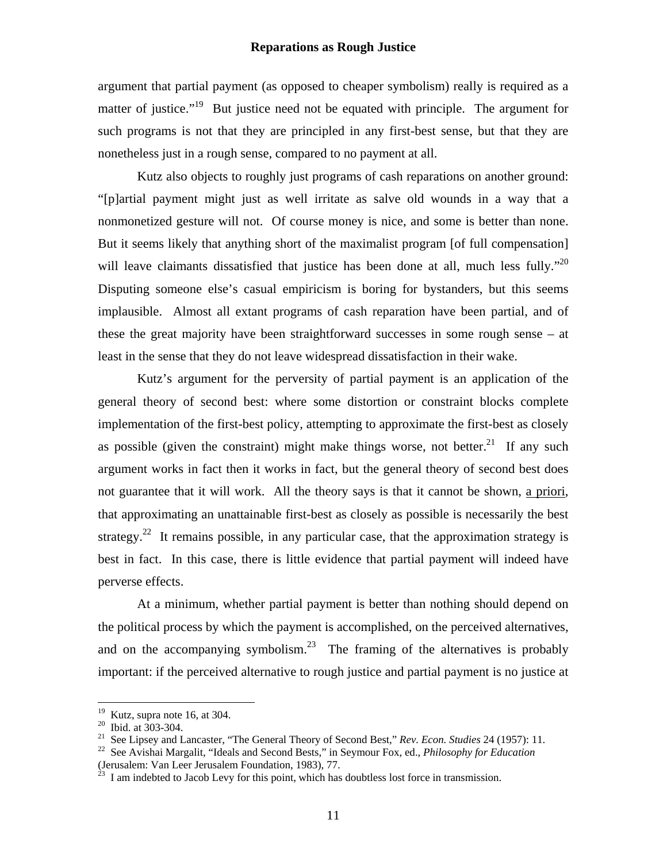argument that partial payment (as opposed to cheaper symbolism) really is required as a matter of justice."<sup>19</sup> But justice need not be equated with principle. The argument for such programs is not that they are principled in any first-best sense, but that they are nonetheless just in a rough sense, compared to no payment at all.

 Kutz also objects to roughly just programs of cash reparations on another ground: "[p]artial payment might just as well irritate as salve old wounds in a way that a nonmonetized gesture will not. Of course money is nice, and some is better than none. But it seems likely that anything short of the maximalist program [of full compensation] will leave claimants dissatisfied that justice has been done at all, much less fully."<sup>20</sup> Disputing someone else's casual empiricism is boring for bystanders, but this seems implausible. Almost all extant programs of cash reparation have been partial, and of these the great majority have been straightforward successes in some rough sense – at least in the sense that they do not leave widespread dissatisfaction in their wake.

 Kutz's argument for the perversity of partial payment is an application of the general theory of second best: where some distortion or constraint blocks complete implementation of the first-best policy, attempting to approximate the first-best as closely as possible (given the constraint) might make things worse, not better.<sup>21</sup> If any such argument works in fact then it works in fact, but the general theory of second best does not guarantee that it will work. All the theory says is that it cannot be shown, a priori, that approximating an unattainable first-best as closely as possible is necessarily the best strategy.<sup>22</sup> It remains possible, in any particular case, that the approximation strategy is best in fact. In this case, there is little evidence that partial payment will indeed have perverse effects.

 At a minimum, whether partial payment is better than nothing should depend on the political process by which the payment is accomplished, on the perceived alternatives, and on the accompanying symbolism.<sup>23</sup> The framing of the alternatives is probably important: if the perceived alternative to rough justice and partial payment is no justice at

 $19$  Kutz, supra note 16, at 304.

<sup>&</sup>lt;sup>20</sup> Ibid. at 303-304.<br><sup>21</sup> See Lipsey and Lancaster, "The General Theory of Second Best," *Rev. Econ. Studies* 24 (1957): 11.

<sup>&</sup>lt;sup>22</sup> See Avishai Margalit, "Ideals and Second Bests," in Seymour Fox, ed., *Philosophy for Education* (Jerusalem: Van Leer Jerusalem Foundation, 1983), 77.

 $^{23}$  I am indebted to Jacob Levy for this point, which has doubtless lost force in transmission.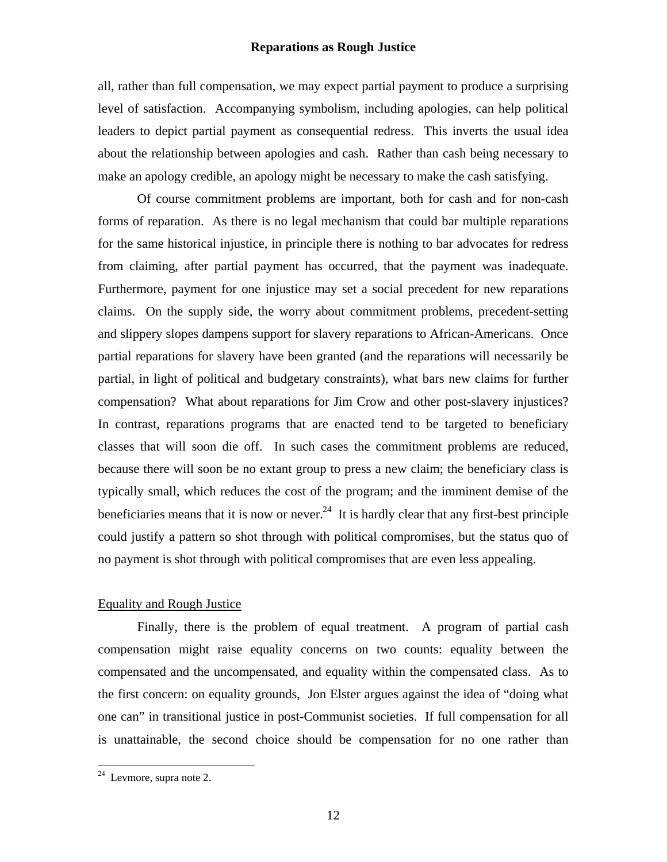all, rather than full compensation, we may expect partial payment to produce a surprising level of satisfaction. Accompanying symbolism, including apologies, can help political leaders to depict partial payment as consequential redress. This inverts the usual idea about the relationship between apologies and cash. Rather than cash being necessary to make an apology credible, an apology might be necessary to make the cash satisfying.

 Of course commitment problems are important, both for cash and for non-cash forms of reparation. As there is no legal mechanism that could bar multiple reparations for the same historical injustice, in principle there is nothing to bar advocates for redress from claiming, after partial payment has occurred, that the payment was inadequate. Furthermore, payment for one injustice may set a social precedent for new reparations claims. On the supply side, the worry about commitment problems, precedent-setting and slippery slopes dampens support for slavery reparations to African-Americans. Once partial reparations for slavery have been granted (and the reparations will necessarily be partial, in light of political and budgetary constraints), what bars new claims for further compensation? What about reparations for Jim Crow and other post-slavery injustices? In contrast, reparations programs that are enacted tend to be targeted to beneficiary classes that will soon die off. In such cases the commitment problems are reduced, because there will soon be no extant group to press a new claim; the beneficiary class is typically small, which reduces the cost of the program; and the imminent demise of the beneficiaries means that it is now or never.<sup>24</sup> It is hardly clear that any first-best principle could justify a pattern so shot through with political compromises, but the status quo of no payment is shot through with political compromises that are even less appealing.

#### Equality and Rough Justice

 Finally, there is the problem of equal treatment. A program of partial cash compensation might raise equality concerns on two counts: equality between the compensated and the uncompensated, and equality within the compensated class. As to the first concern: on equality grounds, Jon Elster argues against the idea of "doing what one can" in transitional justice in post-Communist societies. If full compensation for all is unattainable, the second choice should be compensation for no one rather than

 $24$  Levmore, supra note 2.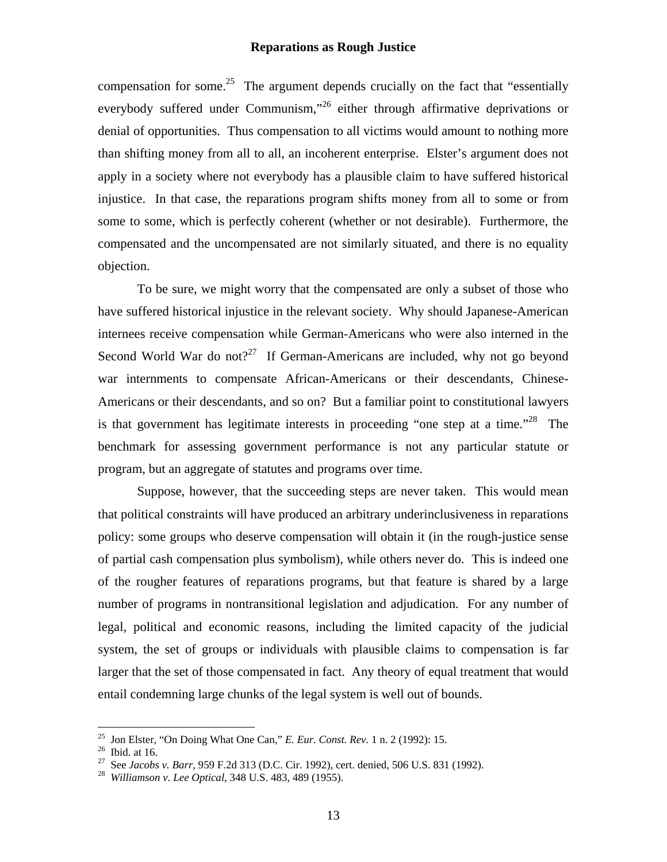compensation for some.<sup>25</sup> The argument depends crucially on the fact that "essentially everybody suffered under Communism, $^{26}$  either through affirmative deprivations or denial of opportunities. Thus compensation to all victims would amount to nothing more than shifting money from all to all, an incoherent enterprise. Elster's argument does not apply in a society where not everybody has a plausible claim to have suffered historical injustice. In that case, the reparations program shifts money from all to some or from some to some, which is perfectly coherent (whether or not desirable). Furthermore, the compensated and the uncompensated are not similarly situated, and there is no equality objection.

 To be sure, we might worry that the compensated are only a subset of those who have suffered historical injustice in the relevant society. Why should Japanese-American internees receive compensation while German-Americans who were also interned in the Second World War do not?<sup>27</sup> If German-Americans are included, why not go beyond war internments to compensate African-Americans or their descendants, Chinese-Americans or their descendants, and so on? But a familiar point to constitutional lawyers is that government has legitimate interests in proceeding "one step at a time."28 The benchmark for assessing government performance is not any particular statute or program, but an aggregate of statutes and programs over time.

 Suppose, however, that the succeeding steps are never taken. This would mean that political constraints will have produced an arbitrary underinclusiveness in reparations policy: some groups who deserve compensation will obtain it (in the rough-justice sense of partial cash compensation plus symbolism), while others never do. This is indeed one of the rougher features of reparations programs, but that feature is shared by a large number of programs in nontransitional legislation and adjudication. For any number of legal, political and economic reasons, including the limited capacity of the judicial system, the set of groups or individuals with plausible claims to compensation is far larger that the set of those compensated in fact. Any theory of equal treatment that would entail condemning large chunks of the legal system is well out of bounds.

<u>.</u>

<sup>&</sup>lt;sup>25</sup> Jon Elster, "On Doing What One Can," *E. Eur. Const. Rev.* 1 n. 2 (1992): 15.<br><sup>26</sup> Ibid. at 16.

<sup>27</sup> See *Jacobs v. Barr*, 959 F.2d 313 (D.C. Cir. 1992), cert. denied, 506 U.S. 831 (1992). 28 *Williamson v. Lee Optical*, 348 U.S. 483, 489 (1955).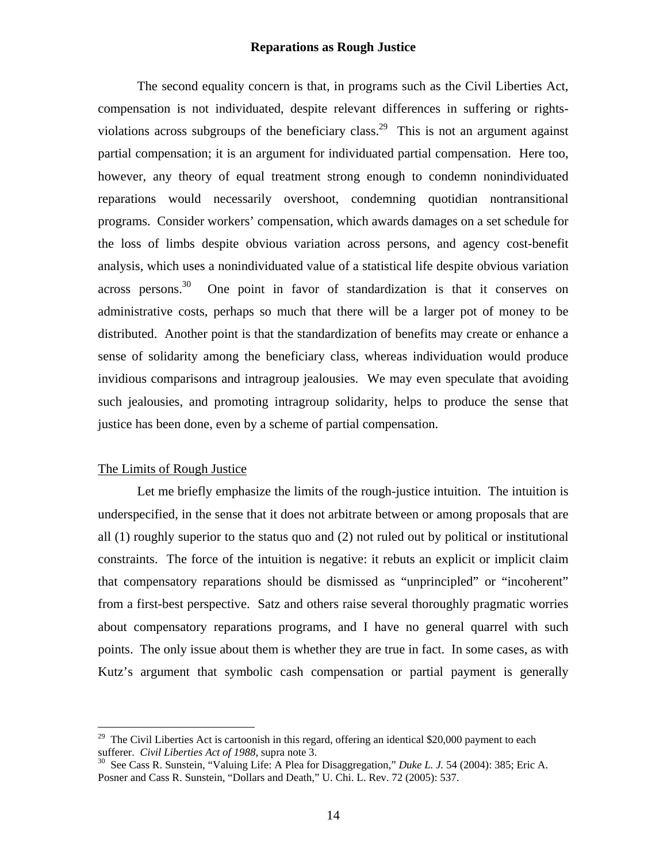The second equality concern is that, in programs such as the Civil Liberties Act, compensation is not individuated, despite relevant differences in suffering or rightsviolations across subgroups of the beneficiary class.<sup>29</sup> This is not an argument against partial compensation; it is an argument for individuated partial compensation. Here too, however, any theory of equal treatment strong enough to condemn nonindividuated reparations would necessarily overshoot, condemning quotidian nontransitional programs. Consider workers' compensation, which awards damages on a set schedule for the loss of limbs despite obvious variation across persons, and agency cost-benefit analysis, which uses a nonindividuated value of a statistical life despite obvious variation across persons.<sup>30</sup> One point in favor of standardization is that it conserves on administrative costs, perhaps so much that there will be a larger pot of money to be distributed. Another point is that the standardization of benefits may create or enhance a sense of solidarity among the beneficiary class, whereas individuation would produce invidious comparisons and intragroup jealousies. We may even speculate that avoiding such jealousies, and promoting intragroup solidarity, helps to produce the sense that justice has been done, even by a scheme of partial compensation.

#### The Limits of Rough Justice

<u>.</u>

 Let me briefly emphasize the limits of the rough-justice intuition. The intuition is underspecified, in the sense that it does not arbitrate between or among proposals that are all (1) roughly superior to the status quo and (2) not ruled out by political or institutional constraints. The force of the intuition is negative: it rebuts an explicit or implicit claim that compensatory reparations should be dismissed as "unprincipled" or "incoherent" from a first-best perspective. Satz and others raise several thoroughly pragmatic worries about compensatory reparations programs, and I have no general quarrel with such points. The only issue about them is whether they are true in fact. In some cases, as with Kutz's argument that symbolic cash compensation or partial payment is generally

<sup>&</sup>lt;sup>29</sup> The Civil Liberties Act is cartoonish in this regard, offering an identical \$20,000 payment to each sufferer. *Civil Liberties Act of 1988*, supra note 3.

<sup>&</sup>lt;sup>30</sup> See Cass R. Sunstein, "Valuing Life: A Plea for Disaggregation," *Duke L. J.* 54 (2004): 385; Eric A. Posner and Cass R. Sunstein, "Dollars and Death," U. Chi. L. Rev. 72 (2005): 537.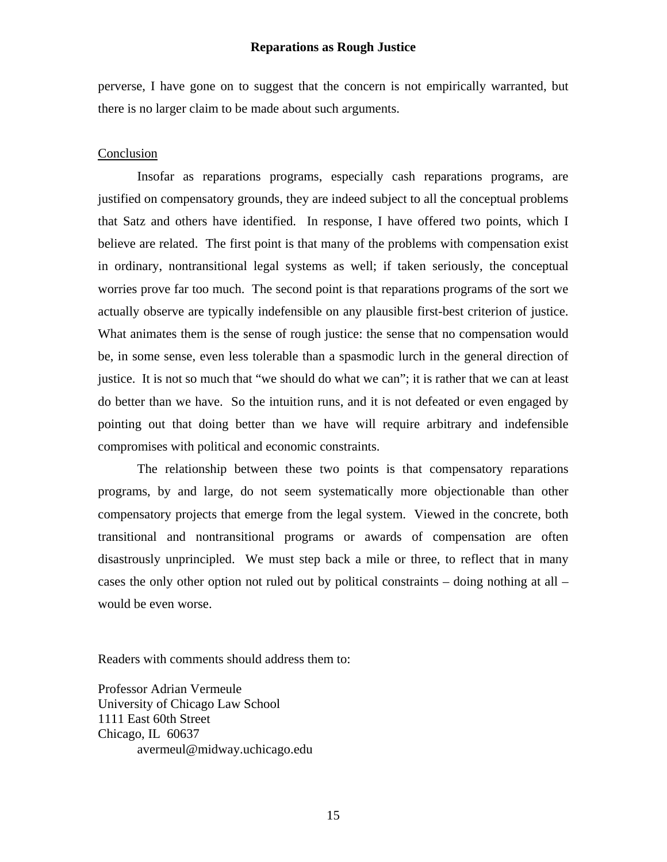perverse, I have gone on to suggest that the concern is not empirically warranted, but there is no larger claim to be made about such arguments.

#### Conclusion

 Insofar as reparations programs, especially cash reparations programs, are justified on compensatory grounds, they are indeed subject to all the conceptual problems that Satz and others have identified. In response, I have offered two points, which I believe are related. The first point is that many of the problems with compensation exist in ordinary, nontransitional legal systems as well; if taken seriously, the conceptual worries prove far too much. The second point is that reparations programs of the sort we actually observe are typically indefensible on any plausible first-best criterion of justice. What animates them is the sense of rough justice: the sense that no compensation would be, in some sense, even less tolerable than a spasmodic lurch in the general direction of justice. It is not so much that "we should do what we can"; it is rather that we can at least do better than we have. So the intuition runs, and it is not defeated or even engaged by pointing out that doing better than we have will require arbitrary and indefensible compromises with political and economic constraints.

 The relationship between these two points is that compensatory reparations programs, by and large, do not seem systematically more objectionable than other compensatory projects that emerge from the legal system. Viewed in the concrete, both transitional and nontransitional programs or awards of compensation are often disastrously unprincipled. We must step back a mile or three, to reflect that in many cases the only other option not ruled out by political constraints – doing nothing at all – would be even worse.

Readers with comments should address them to:

Professor Adrian Vermeule University of Chicago Law School 1111 East 60th Street Chicago, IL 60637 avermeul@midway.uchicago.edu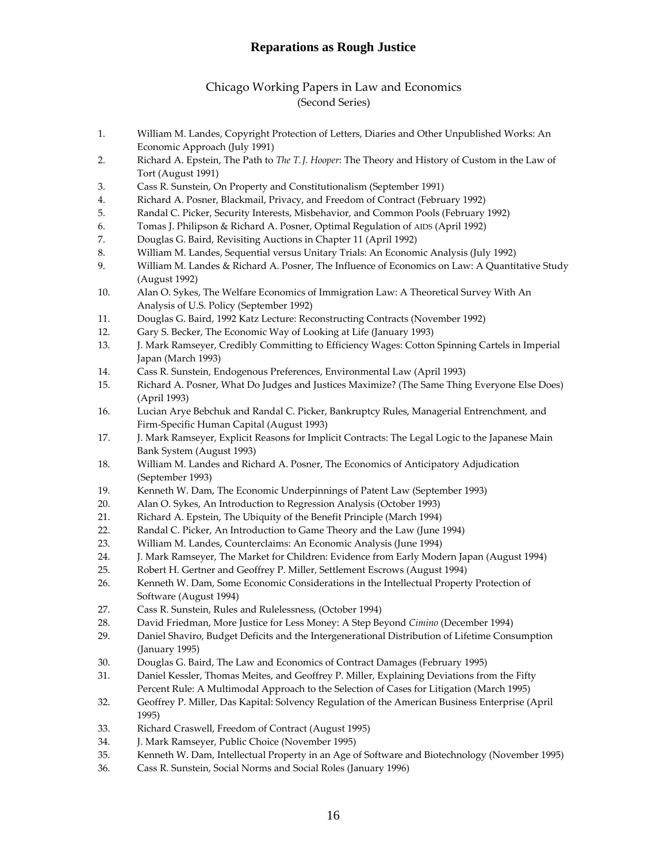#### Chicago Working Papers in Law and Economics (Second Series)

- 1. William M. Landes, Copyright Protection of Letters, Diaries and Other Unpublished Works: An Economic Approach (July 1991)
- 2. Richard A. Epstein, The Path to *The T.J. Hooper*: The Theory and History of Custom in the Law of Tort (August 1991)
- 3. Cass R. Sunstein, On Property and Constitutionalism (September 1991)
- 4. Richard A. Posner, Blackmail, Privacy, and Freedom of Contract (February 1992)
- 5. Randal C. Picker, Security Interests, Misbehavior, and Common Pools (February 1992)
- 6. Tomas J. Philipson & Richard A. Posner, Optimal Regulation of AIDS (April 1992)
- 7. Douglas G. Baird, Revisiting Auctions in Chapter 11 (April 1992)
- 8. William M. Landes, Sequential versus Unitary Trials: An Economic Analysis (July 1992)
- 9. William M. Landes & Richard A. Posner, The Influence of Economics on Law: A Quantitative Study (August 1992)
- 10. Alan O. Sykes, The Welfare Economics of Immigration Law: A Theoretical Survey With An Analysis of U.S. Policy (September 1992)
- 11. Douglas G. Baird, 1992 Katz Lecture: Reconstructing Contracts (November 1992)
- 12. Gary S. Becker, The Economic Way of Looking at Life (January 1993)
- 13. J. Mark Ramseyer, Credibly Committing to Efficiency Wages: Cotton Spinning Cartels in Imperial Japan (March 1993)
- 14. Cass R. Sunstein, Endogenous Preferences, Environmental Law (April 1993)
- 15. Richard A. Posner, What Do Judges and Justices Maximize? (The Same Thing Everyone Else Does) (April 1993)
- 16. Lucian Arye Bebchuk and Randal C. Picker, Bankruptcy Rules, Managerial Entrenchment, and Firm‐Specific Human Capital (August 1993)
- 17. J. Mark Ramseyer, Explicit Reasons for Implicit Contracts: The Legal Logic to the Japanese Main Bank System (August 1993)
- 18. William M. Landes and Richard A. Posner, The Economics of Anticipatory Adjudication (September 1993)
- 19. Kenneth W. Dam, The Economic Underpinnings of Patent Law (September 1993)
- 20. Alan O. Sykes, An Introduction to Regression Analysis (October 1993)
- 21. Richard A. Epstein, The Ubiquity of the Benefit Principle (March 1994)
- 22. Randal C. Picker, An Introduction to Game Theory and the Law (June 1994)
- 23. William M. Landes, Counterclaims: An Economic Analysis (June 1994)
- 24. J. Mark Ramseyer, The Market for Children: Evidence from Early Modern Japan (August 1994)
- 25. Robert H. Gertner and Geoffrey P. Miller, Settlement Escrows (August 1994)
- 26. Kenneth W. Dam, Some Economic Considerations in the Intellectual Property Protection of Software (August 1994)
- 27. Cass R. Sunstein, Rules and Rulelessness, (October 1994)
- 28. David Friedman, More Justice for Less Money: A Step Beyond *Cimino* (December 1994)
- 29. Daniel Shaviro, Budget Deficits and the Intergenerational Distribution of Lifetime Consumption (January 1995)
- 30. Douglas G. Baird, The Law and Economics of Contract Damages (February 1995)
- 31. Daniel Kessler, Thomas Meites, and Geoffrey P. Miller, Explaining Deviations from the Fifty Percent Rule: A Multimodal Approach to the Selection of Cases for Litigation (March 1995)
- 32. Geoffrey P. Miller, Das Kapital: Solvency Regulation of the American Business Enterprise (April 1995)
- 33. Richard Craswell, Freedom of Contract (August 1995)
- 34. J. Mark Ramseyer, Public Choice (November 1995)
- 35. Kenneth W. Dam, Intellectual Property in an Age of Software and Biotechnology (November 1995)
- 36. Cass R. Sunstein, Social Norms and Social Roles (January 1996)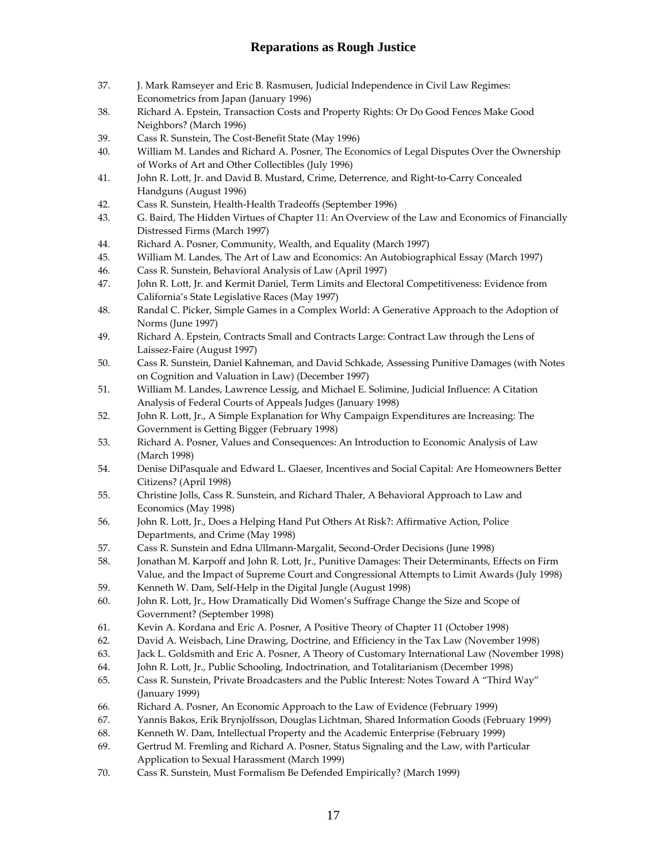- 37. J. Mark Ramseyer and Eric B. Rasmusen, Judicial Independence in Civil Law Regimes: Econometrics from Japan (January 1996)
- 38. Richard A. Epstein, Transaction Costs and Property Rights: Or Do Good Fences Make Good Neighbors? (March 1996)
- 39. Cass R. Sunstein, The Cost‐Benefit State (May 1996)
- 40. William M. Landes and Richard A. Posner, The Economics of Legal Disputes Over the Ownership of Works of Art and Other Collectibles (July 1996)
- 41. John R. Lott, Jr. and David B. Mustard, Crime, Deterrence, and Right-to-Carry Concealed Handguns (August 1996)
- 42. Cass R. Sunstein, Health‐Health Tradeoffs (September 1996)
- 43. G. Baird, The Hidden Virtues of Chapter 11: An Overview of the Law and Economics of Financially Distressed Firms (March 1997)
- 44. Richard A. Posner, Community, Wealth, and Equality (March 1997)
- 45. William M. Landes, The Art of Law and Economics: An Autobiographical Essay (March 1997)
- 46. Cass R. Sunstein, Behavioral Analysis of Law (April 1997)
- 47. John R. Lott, Jr. and Kermit Daniel, Term Limits and Electoral Competitiveness: Evidence from California's State Legislative Races (May 1997)
- 48. Randal C. Picker, Simple Games in a Complex World: A Generative Approach to the Adoption of Norms (June 1997)
- 49. Richard A. Epstein, Contracts Small and Contracts Large: Contract Law through the Lens of Laissez‐Faire (August 1997)
- 50. Cass R. Sunstein, Daniel Kahneman, and David Schkade, Assessing Punitive Damages (with Notes on Cognition and Valuation in Law) (December 1997)
- 51. William M. Landes, Lawrence Lessig, and Michael E. Solimine, Judicial Influence: A Citation Analysis of Federal Courts of Appeals Judges (January 1998)
- 52. John R. Lott, Jr., A Simple Explanation for Why Campaign Expenditures are Increasing: The Government is Getting Bigger (February 1998)
- 53. Richard A. Posner, Values and Consequences: An Introduction to Economic Analysis of Law (March 1998)
- 54. Denise DiPasquale and Edward L. Glaeser, Incentives and Social Capital: Are Homeowners Better Citizens? (April 1998)
- 55. Christine Jolls, Cass R. Sunstein, and Richard Thaler, A Behavioral Approach to Law and Economics (May 1998)
- 56. John R. Lott, Jr., Does a Helping Hand Put Others At Risk?: Affirmative Action, Police Departments, and Crime (May 1998)
- 57. Cass R. Sunstein and Edna Ullmann‐Margalit, Second‐Order Decisions (June 1998)
- 58. Jonathan M. Karpoff and John R. Lott, Jr., Punitive Damages: Their Determinants, Effects on Firm Value, and the Impact of Supreme Court and Congressional Attempts to Limit Awards (July 1998)
- 59. Kenneth W. Dam, Self-Help in the Digital Jungle (August 1998)
- 60. John R. Lott, Jr., How Dramatically Did Women's Suffrage Change the Size and Scope of Government? (September 1998)
- 61. Kevin A. Kordana and Eric A. Posner, A Positive Theory of Chapter 11 (October 1998)
- 62. David A. Weisbach, Line Drawing, Doctrine, and Efficiency in the Tax Law (November 1998)
- 63. Jack L. Goldsmith and Eric A. Posner, A Theory of Customary International Law (November 1998)
- 64. John R. Lott, Jr., Public Schooling, Indoctrination, and Totalitarianism (December 1998)
- 65. Cass R. Sunstein, Private Broadcasters and the Public Interest: Notes Toward A "Third Way" (January 1999)
- 66. Richard A. Posner, An Economic Approach to the Law of Evidence (February 1999)
- 67. Yannis Bakos, Erik Brynjolfsson, Douglas Lichtman, Shared Information Goods (February 1999)
- 68. Kenneth W. Dam, Intellectual Property and the Academic Enterprise (February 1999)
- 69. Gertrud M. Fremling and Richard A. Posner, Status Signaling and the Law, with Particular Application to Sexual Harassment (March 1999)
- 70. Cass R. Sunstein, Must Formalism Be Defended Empirically? (March 1999)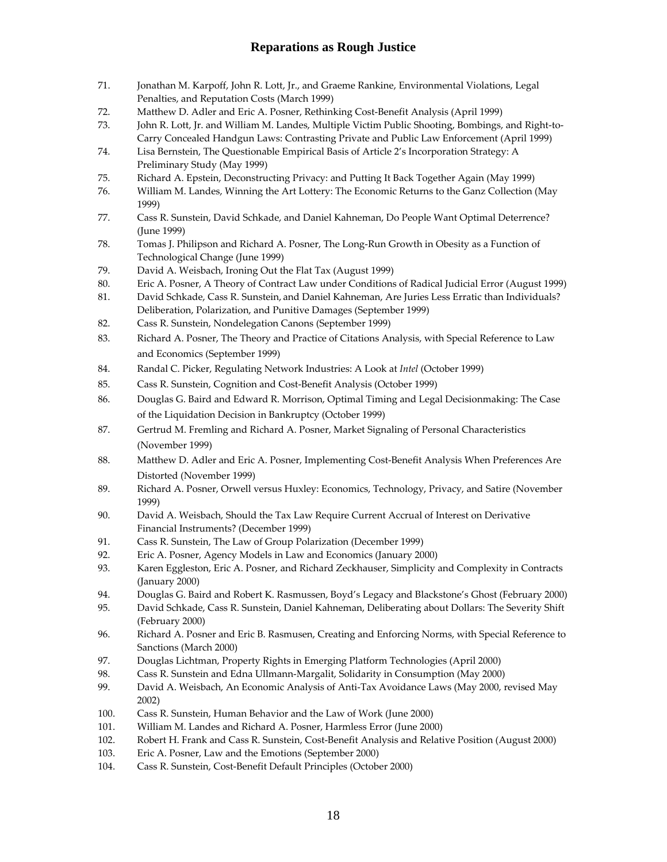- 71. Jonathan M. Karpoff, John R. Lott, Jr., and Graeme Rankine, Environmental Violations, Legal Penalties, and Reputation Costs (March 1999)
- 72. Matthew D. Adler and Eric A. Posner, Rethinking Cost‐Benefit Analysis (April 1999)
- 73. John R. Lott, Jr. and William M. Landes, Multiple Victim Public Shooting, Bombings, and Right-to-Carry Concealed Handgun Laws: Contrasting Private and Public Law Enforcement (April 1999)
- 74. Lisa Bernstein, The Questionable Empirical Basis of Article 2's Incorporation Strategy: A Preliminary Study (May 1999)
- 75. Richard A. Epstein, Deconstructing Privacy: and Putting It Back Together Again (May 1999)
- 76. William M. Landes, Winning the Art Lottery: The Economic Returns to the Ganz Collection (May 1999)
- 77. Cass R. Sunstein, David Schkade, and Daniel Kahneman, Do People Want Optimal Deterrence? (June 1999)
- 78. Tomas J. Philipson and Richard A. Posner, The Long‐Run Growth in Obesity as a Function of Technological Change (June 1999)
- 79. David A. Weisbach, Ironing Out the Flat Tax (August 1999)
- 80. Eric A. Posner, A Theory of Contract Law under Conditions of Radical Judicial Error (August 1999)
- 81. David Schkade, Cass R. Sunstein, and Daniel Kahneman, Are Juries Less Erratic than Individuals? Deliberation, Polarization, and Punitive Damages (September 1999)
- 82. Cass R. Sunstein, Nondelegation Canons (September 1999)
- 83. Richard A. Posner, The Theory and Practice of Citations Analysis, with Special Reference to Law and Economics (September 1999)
- 84. Randal C. Picker, Regulating Network Industries: A Look at *Intel* (October 1999)
- 85. Cass R. Sunstein, Cognition and Cost‐Benefit Analysis (October 1999)
- 86. Douglas G. Baird and Edward R. Morrison, Optimal Timing and Legal Decisionmaking: The Case of the Liquidation Decision in Bankruptcy (October 1999)
- 87. Gertrud M. Fremling and Richard A. Posner, Market Signaling of Personal Characteristics (November 1999)
- 88. Matthew D. Adler and Eric A. Posner, Implementing Cost-Benefit Analysis When Preferences Are Distorted (November 1999)
- 89. Richard A. Posner, Orwell versus Huxley: Economics, Technology, Privacy, and Satire (November 1999)
- 90. David A. Weisbach, Should the Tax Law Require Current Accrual of Interest on Derivative Financial Instruments? (December 1999)
- 91. Cass R. Sunstein, The Law of Group Polarization (December 1999)
- 92. Eric A. Posner, Agency Models in Law and Economics (January 2000)
- 93. Karen Eggleston, Eric A. Posner, and Richard Zeckhauser, Simplicity and Complexity in Contracts (January 2000)
- 94. Douglas G. Baird and Robert K. Rasmussen, Boyd's Legacy and Blackstone's Ghost (February 2000)
- 95. David Schkade, Cass R. Sunstein, Daniel Kahneman, Deliberating about Dollars: The Severity Shift (February 2000)
- 96. Richard A. Posner and Eric B. Rasmusen, Creating and Enforcing Norms, with Special Reference to Sanctions (March 2000)
- 97. Douglas Lichtman, Property Rights in Emerging Platform Technologies (April 2000)
- 98. Cass R. Sunstein and Edna Ullmann-Margalit, Solidarity in Consumption (May 2000)
- 99. David A. Weisbach, An Economic Analysis of Anti-Tax Avoidance Laws (May 2000, revised May 2002)
- 100. Cass R. Sunstein, Human Behavior and the Law of Work (June 2000)
- 101. William M. Landes and Richard A. Posner, Harmless Error (June 2000)
- 102. Robert H. Frank and Cass R. Sunstein, Cost-Benefit Analysis and Relative Position (August 2000)
- 103. Eric A. Posner, Law and the Emotions (September 2000)
- 104. Cass R. Sunstein, Cost‐Benefit Default Principles (October 2000)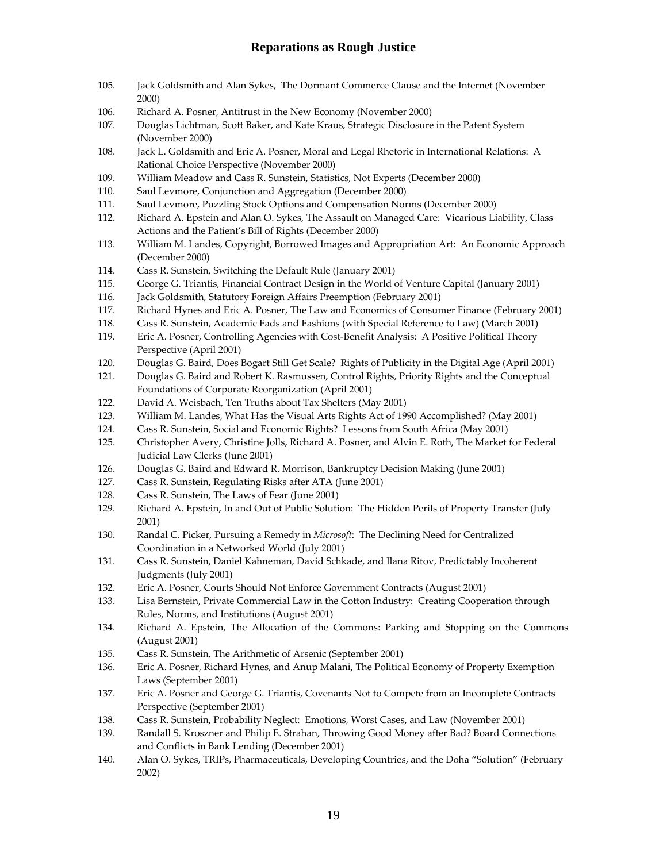- 105. Jack Goldsmith and Alan Sykes, The Dormant Commerce Clause and the Internet (November 2000)
- 106. Richard A. Posner, Antitrust in the New Economy (November 2000)
- 107. Douglas Lichtman, Scott Baker, and Kate Kraus, Strategic Disclosure in the Patent System (November 2000)
- 108. Jack L. Goldsmith and Eric A. Posner, Moral and Legal Rhetoric in International Relations: A Rational Choice Perspective (November 2000)
- 109. William Meadow and Cass R. Sunstein, Statistics, Not Experts (December 2000)
- 110. Saul Levmore, Conjunction and Aggregation (December 2000)
- 111. Saul Levmore, Puzzling Stock Options and Compensation Norms (December 2000)
- 112. Richard A. Epstein and Alan O. Sykes, The Assault on Managed Care: Vicarious Liability, Class Actions and the Patient's Bill of Rights (December 2000)
- 113. William M. Landes, Copyright, Borrowed Images and Appropriation Art: An Economic Approach (December 2000)
- 114. Cass R. Sunstein, Switching the Default Rule (January 2001)
- 115. George G. Triantis, Financial Contract Design in the World of Venture Capital (January 2001)
- 116. Jack Goldsmith, Statutory Foreign Affairs Preemption (February 2001)
- 117. Richard Hynes and Eric A. Posner, The Law and Economics of Consumer Finance (February 2001)
- 118. Cass R. Sunstein, Academic Fads and Fashions (with Special Reference to Law) (March 2001)
- 119. Eric A. Posner, Controlling Agencies with Cost-Benefit Analysis: A Positive Political Theory Perspective (April 2001)
- 120. Douglas G. Baird, Does Bogart Still Get Scale? Rights of Publicity in the Digital Age (April 2001)
- 121. Douglas G. Baird and Robert K. Rasmussen, Control Rights, Priority Rights and the Conceptual Foundations of Corporate Reorganization (April 2001)
- 122. David A. Weisbach, Ten Truths about Tax Shelters (May 2001)
- 123. William M. Landes, What Has the Visual Arts Rights Act of 1990 Accomplished? (May 2001)
- 124. Cass R. Sunstein, Social and Economic Rights? Lessons from South Africa (May 2001)
- 125. Christopher Avery, Christine Jolls, Richard A. Posner, and Alvin E. Roth, The Market for Federal Judicial Law Clerks (June 2001)
- 126. Douglas G. Baird and Edward R. Morrison, Bankruptcy Decision Making (June 2001)
- 127. Cass R. Sunstein, Regulating Risks after ATA (June 2001)
- 128. Cass R. Sunstein, The Laws of Fear (June 2001)
- 129. Richard A. Epstein, In and Out of Public Solution: The Hidden Perils of Property Transfer (July 2001)
- 130. Randal C. Picker, Pursuing a Remedy in *Microsoft*: The Declining Need for Centralized Coordination in a Networked World (July 2001)
- 131. Cass R. Sunstein, Daniel Kahneman, David Schkade, and Ilana Ritov, Predictably Incoherent Judgments (July 2001)
- 132. Eric A. Posner, Courts Should Not Enforce Government Contracts (August 2001)
- 133. Lisa Bernstein, Private Commercial Law in the Cotton Industry: Creating Cooperation through Rules, Norms, and Institutions (August 2001)
- 134. Richard A. Epstein, The Allocation of the Commons: Parking and Stopping on the Commons (August 2001)
- 135. Cass R. Sunstein, The Arithmetic of Arsenic (September 2001)
- 136. Eric A. Posner, Richard Hynes, and Anup Malani, The Political Economy of Property Exemption Laws (September 2001)
- 137. Eric A. Posner and George G. Triantis, Covenants Not to Compete from an Incomplete Contracts Perspective (September 2001)
- 138. Cass R. Sunstein, Probability Neglect: Emotions, Worst Cases, and Law (November 2001)
- 139. Randall S. Kroszner and Philip E. Strahan, Throwing Good Money after Bad? Board Connections and Conflicts in Bank Lending (December 2001)
- 140. Alan O. Sykes, TRIPs, Pharmaceuticals, Developing Countries, and the Doha "Solution" (February 2002)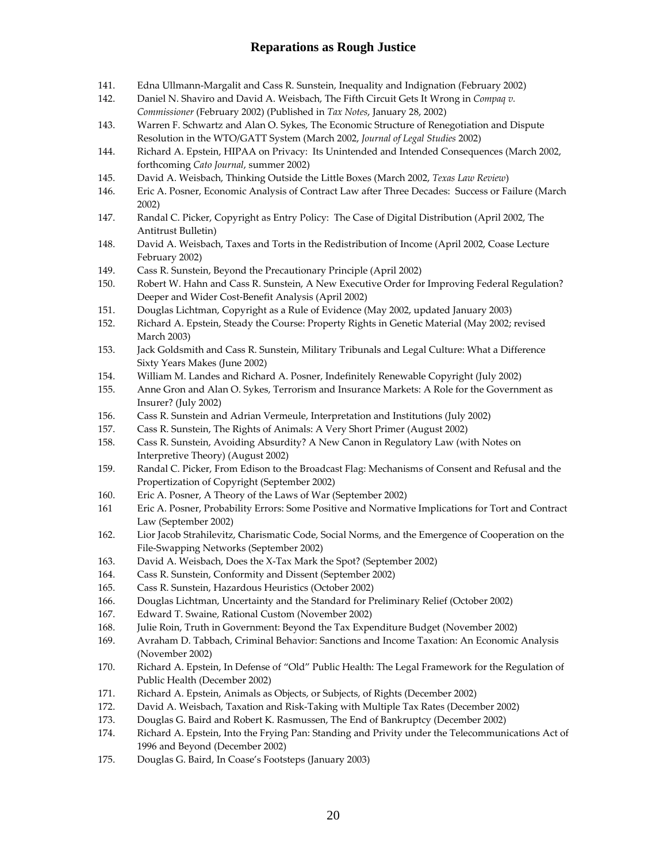- 141. Edna Ullmann‐Margalit and Cass R. Sunstein, Inequality and Indignation (February 2002)
- 142. Daniel N. Shaviro and David A. Weisbach, The Fifth Circuit Gets It Wrong in *Compaq v. Commissioner* (February 2002) (Published in *Tax Notes*, January 28, 2002)
- 143. Warren F. Schwartz and Alan O. Sykes, The Economic Structure of Renegotiation and Dispute Resolution in the WTO/GATT System (March 2002, *Journal of Legal Studies* 2002)
- 144. Richard A. Epstein, HIPAA on Privacy: Its Unintended and Intended Consequences (March 2002, forthcoming *Cato Journal*, summer 2002)
- 145. David A. Weisbach, Thinking Outside the Little Boxes (March 2002, *Texas Law Review*)
- 146. Eric A. Posner, Economic Analysis of Contract Law after Three Decades: Success or Failure (March 2002)
- 147. Randal C. Picker, Copyright as Entry Policy: The Case of Digital Distribution (April 2002, The Antitrust Bulletin)
- 148. David A. Weisbach, Taxes and Torts in the Redistribution of Income (April 2002, Coase Lecture February 2002)
- 149. Cass R. Sunstein, Beyond the Precautionary Principle (April 2002)
- 150. Robert W. Hahn and Cass R. Sunstein, A New Executive Order for Improving Federal Regulation? Deeper and Wider Cost‐Benefit Analysis (April 2002)
- 151. Douglas Lichtman, Copyright as a Rule of Evidence (May 2002, updated January 2003)
- 152. Richard A. Epstein, Steady the Course: Property Rights in Genetic Material (May 2002; revised March 2003)
- 153. Jack Goldsmith and Cass R. Sunstein, Military Tribunals and Legal Culture: What a Difference Sixty Years Makes (June 2002)
- 154. William M. Landes and Richard A. Posner, Indefinitely Renewable Copyright (July 2002)
- 155. Anne Gron and Alan O. Sykes, Terrorism and Insurance Markets: A Role for the Government as Insurer? (July 2002)
- 156. Cass R. Sunstein and Adrian Vermeule, Interpretation and Institutions (July 2002)
- 157. Cass R. Sunstein, The Rights of Animals: A Very Short Primer (August 2002)
- 158. Cass R. Sunstein, Avoiding Absurdity? A New Canon in Regulatory Law (with Notes on Interpretive Theory) (August 2002)
- 159. Randal C. Picker, From Edison to the Broadcast Flag: Mechanisms of Consent and Refusal and the Propertization of Copyright (September 2002)
- 160. Eric A. Posner, A Theory of the Laws of War (September 2002)
- 161 Eric A. Posner, Probability Errors: Some Positive and Normative Implications for Tort and Contract Law (September 2002)
- 162. Lior Jacob Strahilevitz, Charismatic Code, Social Norms, and the Emergence of Cooperation on the File‐Swapping Networks (September 2002)
- 163. David A. Weisbach, Does the X‐Tax Mark the Spot? (September 2002)
- 164. Cass R. Sunstein, Conformity and Dissent (September 2002)
- 165. Cass R. Sunstein, Hazardous Heuristics (October 2002)
- 166. Douglas Lichtman, Uncertainty and the Standard for Preliminary Relief (October 2002)
- 167. Edward T. Swaine, Rational Custom (November 2002)
- 168. Julie Roin, Truth in Government: Beyond the Tax Expenditure Budget (November 2002)
- 169. Avraham D. Tabbach, Criminal Behavior: Sanctions and Income Taxation: An Economic Analysis (November 2002)
- 170. Richard A. Epstein, In Defense of "Old" Public Health: The Legal Framework for the Regulation of Public Health (December 2002)
- 171. Richard A. Epstein, Animals as Objects, or Subjects, of Rights (December 2002)
- 172. David A. Weisbach, Taxation and Risk‐Taking with Multiple Tax Rates (December 2002)
- 173. Douglas G. Baird and Robert K. Rasmussen, The End of Bankruptcy (December 2002)
- 174. Richard A. Epstein, Into the Frying Pan: Standing and Privity under the Telecommunications Act of 1996 and Beyond (December 2002)
- 175. Douglas G. Baird, In Coase's Footsteps (January 2003)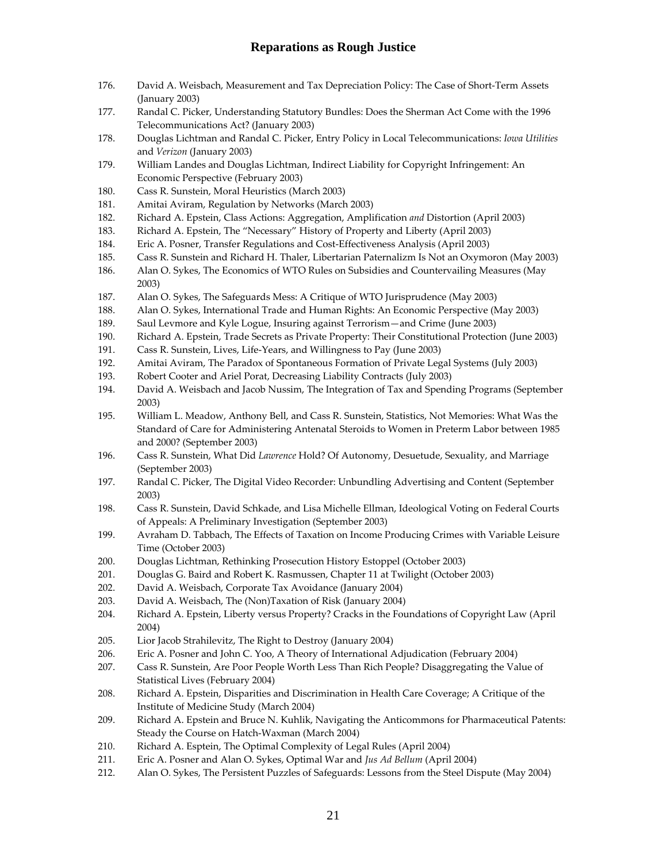- 176. David A. Weisbach, Measurement and Tax Depreciation Policy: The Case of Short‐Term Assets (January 2003)
- 177. Randal C. Picker, Understanding Statutory Bundles: Does the Sherman Act Come with the 1996 Telecommunications Act? (January 2003)
- 178. Douglas Lichtman and Randal C. Picker, Entry Policy in Local Telecommunications: *Iowa Utilities* and *Verizon* (January 2003)
- 179. William Landes and Douglas Lichtman, Indirect Liability for Copyright Infringement: An Economic Perspective (February 2003)
- 180. Cass R. Sunstein, Moral Heuristics (March 2003)
- 181. Amitai Aviram, Regulation by Networks (March 2003)
- 182. Richard A. Epstein, Class Actions: Aggregation, Amplification *and* Distortion (April 2003)
- 183. Richard A. Epstein, The "Necessary" History of Property and Liberty (April 2003)
- 184. Eric A. Posner, Transfer Regulations and Cost‐Effectiveness Analysis (April 2003)
- 185. Cass R. Sunstein and Richard H. Thaler, Libertarian Paternalizm Is Not an Oxymoron (May 2003)
- 186. Alan O. Sykes, The Economics of WTO Rules on Subsidies and Countervailing Measures (May 2003)
- 187. Alan O. Sykes, The Safeguards Mess: A Critique of WTO Jurisprudence (May 2003)
- 188. Alan O. Sykes, International Trade and Human Rights: An Economic Perspective (May 2003)
- 189. Saul Levmore and Kyle Logue, Insuring against Terrorism—and Crime (June 2003)
- 190. Richard A. Epstein, Trade Secrets as Private Property: Their Constitutional Protection (June 2003)
- 191. Cass R. Sunstein, Lives, Life-Years, and Willingness to Pay (June 2003)
- 192. Amitai Aviram, The Paradox of Spontaneous Formation of Private Legal Systems (July 2003)
- 193. Robert Cooter and Ariel Porat, Decreasing Liability Contracts (July 2003)
- 194. David A. Weisbach and Jacob Nussim, The Integration of Tax and Spending Programs (September 2003)
- 195. William L. Meadow, Anthony Bell, and Cass R. Sunstein, Statistics, Not Memories: What Was the Standard of Care for Administering Antenatal Steroids to Women in Preterm Labor between 1985 and 2000? (September 2003)
- 196. Cass R. Sunstein, What Did *Lawrence* Hold? Of Autonomy, Desuetude, Sexuality, and Marriage (September 2003)
- 197. Randal C. Picker, The Digital Video Recorder: Unbundling Advertising and Content (September 2003)
- 198. Cass R. Sunstein, David Schkade, and Lisa Michelle Ellman, Ideological Voting on Federal Courts of Appeals: A Preliminary Investigation (September 2003)
- 199. Avraham D. Tabbach, The Effects of Taxation on Income Producing Crimes with Variable Leisure Time (October 2003)
- 200. Douglas Lichtman, Rethinking Prosecution History Estoppel (October 2003)
- 201. Douglas G. Baird and Robert K. Rasmussen, Chapter 11 at Twilight (October 2003)
- 202. David A. Weisbach, Corporate Tax Avoidance (January 2004)
- 203. David A. Weisbach, The (Non)Taxation of Risk (January 2004)
- 204. Richard A. Epstein, Liberty versus Property? Cracks in the Foundations of Copyright Law (April 2004)
- 205. Lior Jacob Strahilevitz, The Right to Destroy (January 2004)
- 206. Eric A. Posner and John C. Yoo, A Theory of International Adjudication (February 2004)
- 207. Cass R. Sunstein, Are Poor People Worth Less Than Rich People? Disaggregating the Value of Statistical Lives (February 2004)
- 208. Richard A. Epstein, Disparities and Discrimination in Health Care Coverage; A Critique of the Institute of Medicine Study (March 2004)
- 209. Richard A. Epstein and Bruce N. Kuhlik, Navigating the Anticommons for Pharmaceutical Patents: Steady the Course on Hatch‐Waxman (March 2004)
- 210. Richard A. Esptein, The Optimal Complexity of Legal Rules (April 2004)
- 211. Eric A. Posner and Alan O. Sykes, Optimal War and *Jus Ad Bellum* (April 2004)
- 212. Alan O. Sykes, The Persistent Puzzles of Safeguards: Lessons from the Steel Dispute (May 2004)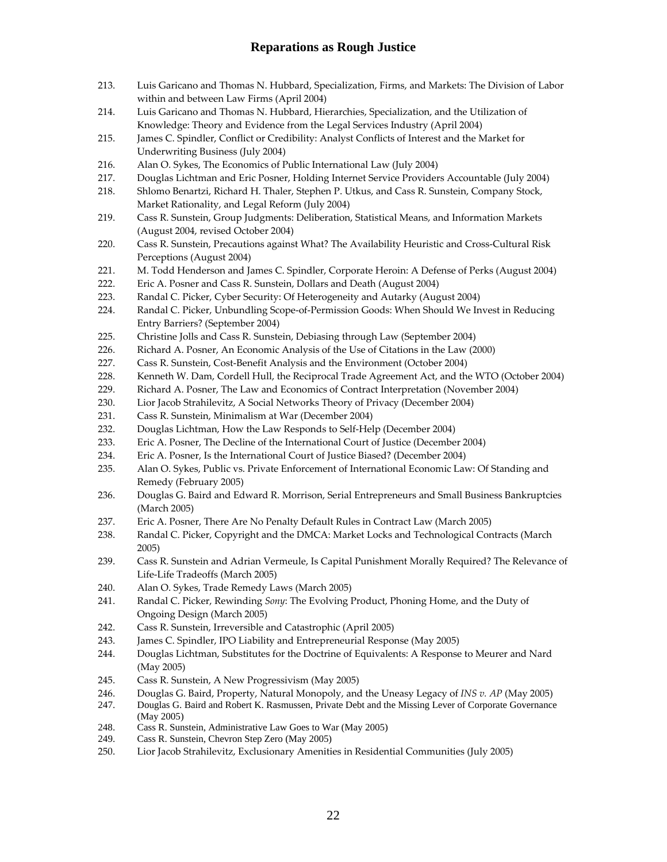- 213. Luis Garicano and Thomas N. Hubbard, Specialization, Firms, and Markets: The Division of Labor within and between Law Firms (April 2004)
- 214. Luis Garicano and Thomas N. Hubbard, Hierarchies, Specialization, and the Utilization of Knowledge: Theory and Evidence from the Legal Services Industry (April 2004)
- 215. James C. Spindler, Conflict or Credibility: Analyst Conflicts of Interest and the Market for Underwriting Business (July 2004)
- 216. Alan O. Sykes, The Economics of Public International Law (July 2004)
- 217. Douglas Lichtman and Eric Posner, Holding Internet Service Providers Accountable (July 2004)
- 218. Shlomo Benartzi, Richard H. Thaler, Stephen P. Utkus, and Cass R. Sunstein, Company Stock, Market Rationality, and Legal Reform (July 2004)
- 219. Cass R. Sunstein, Group Judgments: Deliberation, Statistical Means, and Information Markets (August 2004, revised October 2004)
- 220. Cass R. Sunstein, Precautions against What? The Availability Heuristic and Cross-Cultural Risk Perceptions (August 2004)
- 221. M. Todd Henderson and James C. Spindler, Corporate Heroin: A Defense of Perks (August 2004)
- 222. Eric A. Posner and Cass R. Sunstein, Dollars and Death (August 2004)
- 223. Randal C. Picker, Cyber Security: Of Heterogeneity and Autarky (August 2004)
- 224. Randal C. Picker, Unbundling Scope-of-Permission Goods: When Should We Invest in Reducing Entry Barriers? (September 2004)
- 225. Christine Jolls and Cass R. Sunstein, Debiasing through Law (September 2004)
- 226. Richard A. Posner, An Economic Analysis of the Use of Citations in the Law (2000)
- 227. Cass R. Sunstein, Cost-Benefit Analysis and the Environment (October 2004)
- 228. Kenneth W. Dam, Cordell Hull, the Reciprocal Trade Agreement Act, and the WTO (October 2004)
- 229. Richard A. Posner, The Law and Economics of Contract Interpretation (November 2004)
- 230. Lior Jacob Strahilevitz, A Social Networks Theory of Privacy (December 2004)
- 231. Cass R. Sunstein, Minimalism at War (December 2004)
- 232. Douglas Lichtman, How the Law Responds to Self-Help (December 2004)
- 233. Eric A. Posner, The Decline of the International Court of Justice (December 2004)
- 234. Eric A. Posner, Is the International Court of Justice Biased? (December 2004)
- 235. Alan O. Sykes, Public vs. Private Enforcement of International Economic Law: Of Standing and Remedy (February 2005)
- 236. Douglas G. Baird and Edward R. Morrison, Serial Entrepreneurs and Small Business Bankruptcies (March 2005)
- 237. Eric A. Posner, There Are No Penalty Default Rules in Contract Law (March 2005)
- 238. Randal C. Picker, Copyright and the DMCA: Market Locks and Technological Contracts (March 2005)
- 239. Cass R. Sunstein and Adrian Vermeule, Is Capital Punishment Morally Required? The Relevance of Life‐Life Tradeoffs (March 2005)
- 240. Alan O. Sykes, Trade Remedy Laws (March 2005)
- 241. Randal C. Picker, Rewinding *Sony*: The Evolving Product, Phoning Home, and the Duty of Ongoing Design (March 2005)
- 242. Cass R. Sunstein, Irreversible and Catastrophic (April 2005)
- 243. James C. Spindler, IPO Liability and Entrepreneurial Response (May 2005)
- 244. Douglas Lichtman, Substitutes for the Doctrine of Equivalents: A Response to Meurer and Nard (May 2005)
- 245. Cass R. Sunstein, A New Progressivism (May 2005)
- 246. Douglas G. Baird, Property, Natural Monopoly, and the Uneasy Legacy of *INS v. AP* (May 2005)
- 247. Douglas G. Baird and Robert K. Rasmussen, Private Debt and the Missing Lever of Corporate Governance (May 2005)
- 248. Cass R. Sunstein, Administrative Law Goes to War (May 2005)
- 249. Cass R. Sunstein, Chevron Step Zero (May 2005)
- 250. Lior Jacob Strahilevitz, Exclusionary Amenities in Residential Communities (July 2005)